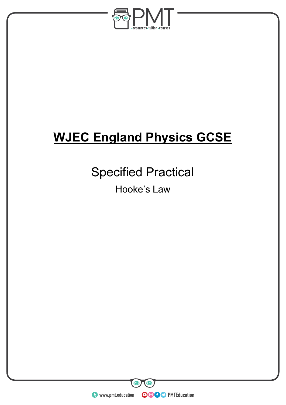

# **WJEC England Physics GCSE**

## Specified Practical

Hooke's Law

**WWW.pmt.education** 

 $\bullet$ 

**OOOO** PMTEducation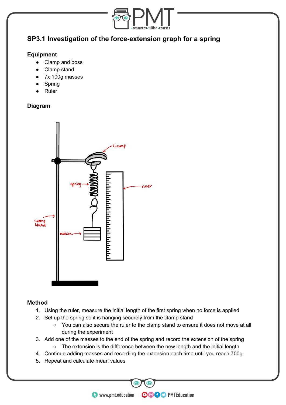

### **SP3.1 Investigation of the force-extension graph for a spring**

#### **Equipment**

- Clamp and boss
- Clamp stand
- 7x 100g masses
- **Spring**
- **Ruler**

#### **Diagram**



#### **Method**

- 1. Using the ruler, measure the initial length of the first spring when no force is applied
- 2. Set up the spring so it is hanging securely from the clamp stand
	- You can also secure the ruler to the clamp stand to ensure it does not move at all during the experiment

**OOOO** PMTEducation

- 3. Add one of the masses to the end of the spring and record the extension of the spring
	- The extension is the difference between the new length and the initial length
- 4. Continue adding masses and recording the extension each time until you reach 700g
- 5. Repeat and calculate mean values